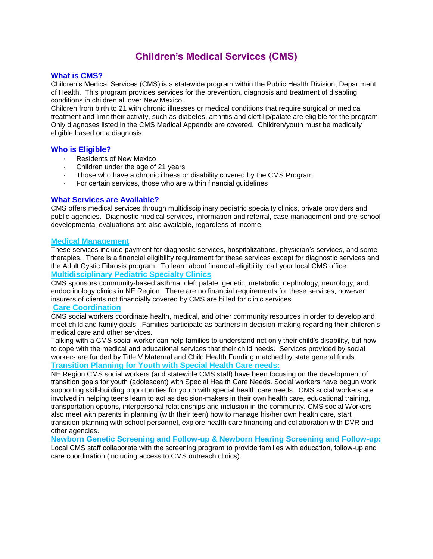# **Children's Medical Services (CMS)**

### **What is CMS?**

Children's Medical Services (CMS) is a statewide program within the Public Health Division, Department of Health. This program provides services for the prevention, diagnosis and treatment of disabling conditions in children all over New Mexico.

Children from birth to 21 with chronic illnesses or medical conditions that require surgical or medical treatment and limit their activity, such as diabetes, arthritis and cleft lip/palate are eligible for the program. Only diagnoses listed in the CMS Medical Appendix are covered. Children/youth must be medically eligible based on a diagnosis.

#### **Who is Eligible?**

- · Residents of New Mexico
- Children under the age of 21 years
- Those who have a chronic illness or disability covered by the CMS Program
- For certain services, those who are within financial guidelines

### **What Services are Available?**

CMS offers medical services through multidisciplinary pediatric specialty clinics, private providers and public agencies. Diagnostic medical services, information and referral, case management and pre-school developmental evaluations are also available, regardless of income.

#### **Medical Management**

These services include payment for diagnostic services, hospitalizations, physician's services, and some therapies. There is a financial eligibility requirement for these services except for diagnostic services and the Adult Cystic Fibrosis program. To learn about financial eligibility, call your local CMS office. **Multidisciplinary Pediatric Specialty Clinics**

CMS sponsors community-based asthma, cleft palate, genetic, metabolic, nephrology, neurology, and endocrinology clinics in NE Region. There are no financial requirements for these services, however insurers of clients not financially covered by CMS are billed for clinic services.

#### **Care Coordination**

CMS social workers coordinate health, medical, and other community resources in order to develop and meet child and family goals. Families participate as partners in decision-making regarding their children's medical care and other services.

Talking with a CMS social worker can help families to understand not only their child's disability, but how to cope with the medical and educational services that their child needs. Services provided by social workers are funded by Title V Maternal and Child Health Funding matched by state general funds. **Transition Planning for Youth with Special Health Care needs:** 

NE Region CMS social workers (and statewide CMS staff) have been focusing on the development of transition goals for youth (adolescent) with Special Health Care Needs. Social workers have begun work supporting skill-building opportunities for youth with special health care needs. CMS social workers are involved in helping teens learn to act as decision-makers in their own health care, educational training, transportation options, interpersonal relationships and inclusion in the community. CMS social Workers also meet with parents in planning (with their teen) how to manage his/her own health care, start transition planning with school personnel, explore health care financing and collaboration with DVR and other agencies.

**Newborn Genetic Screening and Follow-up & Newborn Hearing Screening and Follow-up:** Local CMS staff collaborate with the screening program to provide families with education, follow-up and care coordination (including access to CMS outreach clinics).